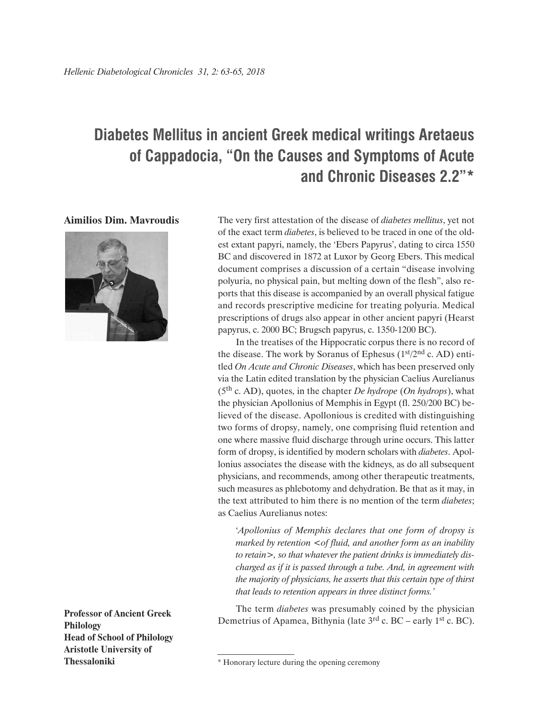## **Diabetes Mellitus in ancient Greek medical writings Aretaeus of Cappadocia, "On the Causes and Symptoms of Acute and Chronic Diseases 2.2"\***

**Aimilios Dim. Mavroudis**



**Professor of Ancient Greek Philology Head of School of Philology Aristotle University of**

The very first attestation of the disease of *diabetes mellitus*, yet not of the exact term *diabetes*, is believed to be traced in one of the oldest extant papyri, namely, the 'Ebers Papyrus', dating to circa 1550 BC and discovered in 1872 at Luxor by Georg Ebers. This medical document comprises a discussion of a certain "disease involving polyuria, no physical pain, but melting down of the flesh", also reports that this disease is accompanied by an overall physical fatigue and records prescriptive medicine for treating polyuria. Medical prescriptions of drugs also appear in other ancient papyri (Hearst papyrus, c. 2000 BC; Brugsch papyrus, c. 1350-1200 BC).

In the treatises of the Hippocratic corpus there is no record of the disease. The work by Soranus of Ephesus  $(1<sup>st</sup>/2<sup>nd</sup> c. AD)$  entitled *On Acute and Chronic Diseases*, which has been preserved only via the Latin edited translation by the physician Caelius Aurelianus (5th c. AD), quotes, in the chapter *De hydrope* (*On hydrops*), what the physician Apollonius of Memphis in Egypt (fl. 250/200 BC) believed of the disease. Apollonious is credited with distinguishing two forms of dropsy, namely, one comprising fluid retention and one where massive fluid discharge through urine occurs. This latter form of dropsy, is identified by modern scholars with *diabetes*. Apollonius associates the disease with the kidneys, as do all subsequent physicians, and recommends, among other therapeutic treatments, such measures as phlebotomy and dehydration. Be that as it may, in the text attributed to him there is no mention of the term *diabetes*; as Caelius Aurelianus notes:

'*Apollonius of Memphis declares that one form of dropsy is marked by retention <of fluid, and another form as an inability to retain>, so that whatever the patient drinks is immediately discharged as if it is passed through a tube. And, in agreement with the majority of physicians, he asserts that this certain type of thirst that leads to retention appears in three distinct forms.'*

The term *diabetes* was presumably coined by the physician Demetrius of Apamea, Bithynia (late 3<sup>rd</sup> c. BC – early 1<sup>st</sup> c. BC).

**Thessaloniki** \* Honorary lecture during the opening ceremony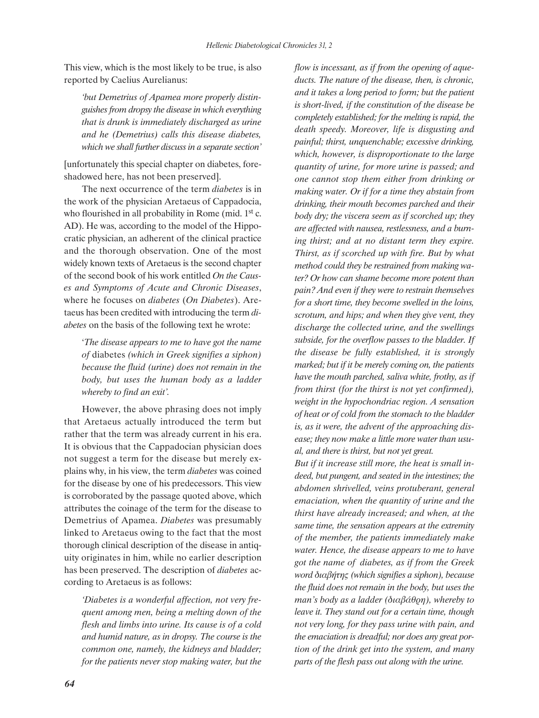This view, which is the most likely to be true, is also reported by Caelius Aurelianus:

*'but Demetrius of Apamea more properly distinguishes from dropsy the disease in which everything that is drunk is immediately discharged as urine and he (Demetrius) calls this disease diabetes, which we shall further discuss in a separate section'*

[unfortunately this special chapter on diabetes, foreshadowed here, has not been preserved].

The next occurrence of the term *diabetes* is in the work of the physician Aretaeus of Cappadocia, who flourished in all probability in Rome (mid. 1<sup>st</sup> c. AD). He was, according to the model of the Hippocratic physician, an adherent of the clinical practice and the thorough observation. One of the most widely known texts of Aretaeus is the second chapter of the second book of his work entitled *On the Causes and Symptoms of Acute and Chronic Diseases*, where he focuses on *diabetes* (*On Diabetes*). Aretaeus has been credited with introducing the term *diabetes* on the basis of the following text he wrote:

'*The disease appears to me to have got the name of* diabetes *(which in Greek signifies a siphon) because the fluid (urine) does not remain in the body, but uses the human body as a ladder whereby to find an exit'.*

However, the above phrasing does not imply that Aretaeus actually introduced the term but rather that the term was already current in his era. It is obvious that the Cappadocian physician does not suggest a term for the disease but merely explains why, in his view, the term *diabetes* was coined for the disease by one of his predecessors. This view is corroborated by the passage quoted above, which attributes the coinage of the term for the disease to Demetrius of Apamea. *Diabetes* was presumably linked to Aretaeus owing to the fact that the most thorough clinical description of the disease in antiquity originates in him, while no earlier description has been preserved. The description of *diabetes* according to Aretaeus is as follows:

*'Diabetes is a wonderful affection, not very frequent among men, being a melting down of the flesh and limbs into urine. Its cause is of a cold and humid nature, as in dropsy. The course is the common one, namely, the kidneys and bladder; for the patients never stop making water, but the*

*flow is incessant, as if from the opening of aqueducts. The nature of the disease, then, is chronic, and it takes a long period to form; but the patient is short-lived, if the constitution of the disease be completely established; for the melting is rapid, the death speedy. Moreover, life is disgusting and painful; thirst, unquenchable; excessive drinking, which, however, is disproportionate to the large quantity of urine, for more urine is passed; and one cannot stop them either from drinking or making water. Or if for a time they abstain from drinking, their mouth becomes parched and their body dry; the viscera seem as if scorched up; they are affected with nausea, restlessness, and a burning thirst; and at no distant term they expire. Thirst, as if scorched up with fire. But by what method could they be restrained from making water? Or how can shame become more potent than pain? And even if they were to restrain themselves for a short time, they become swelled in the loins, scrotum, and hips; and when they give vent, they discharge the collected urine, and the swellings subside, for the overflow passes to the bladder. If the disease be fully established, it is strongly marked; but if it be merely coming on, the patients have the mouth parched, saliva white, frothy, as if from thirst (for the thirst is not yet confirmed), weight in the hypochondriac region. A sensation of heat or of cold from the stomach to the bladder is, as it were, the advent of the approaching disease; they now make a little more water than usual, and there is thirst, but not yet great.*

*But if it increase still more, the heat is small indeed, but pungent, and seated in the intestines; the abdomen shrivelled, veins protuberant, general emaciation, when the quantity of urine and the thirst have already increased; and when, at the same time, the sensation appears at the extremity of the member, the patients immediately make water. Hence, the disease appears to me to have got the name of diabetes, as if from the Greek word διαβήτης (which signifies a siphon), because the fluid does not remain in the body, but uses the man's body as a ladder (διαβάθρη), whereby to leave it. They stand out for a certain time, though not very long, for they pass urine with pain, and the emaciation is dreadful; nor does any great portion of the drink get into the system, and many parts of the flesh pass out along with the urine.*